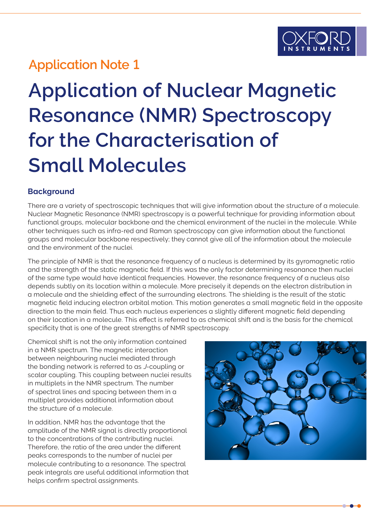# **Application Note 1**

# **Application of Nuclear Magnetic Resonance (NMR) Spectroscopy for the Characterisation of Small Molecules**

### **Background**

There are a variety of spectroscopic techniques that will give information about the structure of a molecule. Nuclear Magnetic Resonance (NMR) spectroscopy is a powerful technique for providing information about functional groups, molecular backbone and the chemical environment of the nuclei in the molecule. While other techniques such as infra-red and Raman spectroscopy can give information about the functional groups and molecular backbone respectively; they cannot give all of the information about the molecule and the environment of the nuclei.

The principle of NMR is that the resonance frequency of a nucleus is determined by its gyromagnetic ratio and the strength of the static magnetic field. If this was the only factor determining resonance then nuclei of the same type would have identical frequencies. However, the resonance frequency of a nucleus also depends subtly on its location within a molecule. More precisely it depends on the electron distribution in a molecule and the shielding effect of the surrounding electrons. The shielding is the result of the static magnetic field inducing electron orbital motion. This motion generates a small magnetic field in the opposite direction to the main field. Thus each nucleus experiences a slightly different magnetic field depending on their location in a molecule. This effect is referred to as chemical shift and is the basis for the chemical specificity that is one of the great strengths of NMR spectroscopy.

Chemical shift is not the only information contained in a NMR spectrum. The magnetic interaction between neighbouring nuclei mediated through the bonding network is referred to as J-coupling or scalar coupling. This coupling between nuclei results in multiplets in the NMR spectrum. The number of spectral lines and spacing between them in a multiplet provides additional information about the structure of a molecule.

In addition, NMR has the advantage that the amplitude of the NMR signal is directly proportional to the concentrations of the contributing nuclei. Therefore, the ratio of the area under the different peaks corresponds to the number of nuclei per molecule contributing to a resonance. The spectral peak integrals are useful additional information that helps confirm spectral assignments.

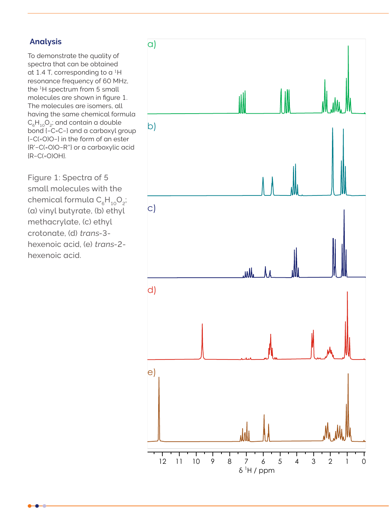#### **Analysis**

To demonstrate the quality of spectra that can be obtained at 1.4 T, corresponding to a  ${}^{1}$ H resonance frequency of 60 MHz, the 1H spectrum from 5 small molecules are shown in figure 1. The molecules are isomers, all having the same chemical formula  $C_6H_{10}O_2$ ; and contain a double bond {−C=C−} and a carboxyl group {−C(=O)O−} in the form of an ester {R'−C(=O)O−R''} or a carboxylic acid {R−C(=O)OH}.

Figure 1: Spectra of 5 small molecules with the chemical formula  $C_eH_{10}O_2$ ; (a) vinyl butyrate, (b) ethyl methacrylate, (c) ethyl crotonate, (d) trans-3 hexenoic acid, (e) trans-2 hexenoic acid.

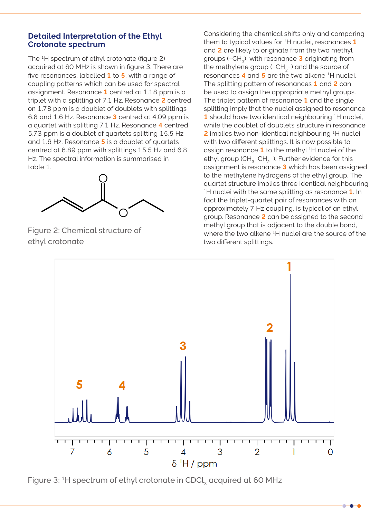#### **Detailed Interpretation of the Ethyl Crotonate spectrum**

The <sup>1</sup>H spectrum of ethyl crotonate (figure 2) acquired at 60 MHz is shown in figure 3. There are five resonances, labelled **1** to **5**, with a range of coupling patterns which can be used for spectral assignment. Resonance **1** centred at 1.18 ppm is a triplet with a splitting of 7.1 Hz. Resonance **2** centred on 1.78 ppm is a doublet of doublets with splittings 6.8 and 1.6 Hz. Resonance **3** centred at 4.09 ppm is a quartet with splitting 7.1 Hz. Resonance **4** centred 5.73 ppm is a doublet of quartets splitting 15.5 Hz and 1.6 Hz. Resonance **5** is a doublet of quartets centred at 6.89 ppm with splittings 15.5 Hz and 6.8 Hz. The spectral information is summarised in table 1.



Figure 2: Chemical structure of ethyl crotonate

Considering the chemical shifts only and comparing them to typical values for 1H nuclei, resonances **1** and **2** are likely to originate from the two methyl groups (−CH3), with resonance **3** originating from the methylene group (−CH<sub>2</sub>−) and the source of resonances **4** and **5** are the two alkene 1H nuclei. The splitting pattern of resonances **1** and **2** can be used to assign the appropriate methyl groups. The triplet pattern of resonance **1** and the single splitting imply that the nuclei assigned to resonance **1** should have two identical neighbouring 1H nuclei, while the doublet of doublets structure in resonance **2** implies two non-identical neighbouring 1H nuclei with two different splittings. It is now possible to assign resonance **1** to the methyl 1H nuclei of the ethyl group (CH<sub>3</sub>−CH<sub>3</sub>−). Further evidence for this assignment is resonance **3** which has been assigned to the methylene hydrogens of the ethyl group. The quartet structure implies three identical neighbouring 1H nuclei with the same splitting as resonance **1**. In fact the triplet-quartet pair of resonances with an approximately 7 Hz coupling, is typical of an ethyl group. Resonance **2** can be assigned to the second methyl group that is adjacent to the double bond, where the two alkene <sup>1</sup>H nuclei are the source of the two different splittings.



Figure 3: <sup>1</sup>H spectrum of ethyl crotonate in CDCl<sub>3</sub> acquired at 60 MHz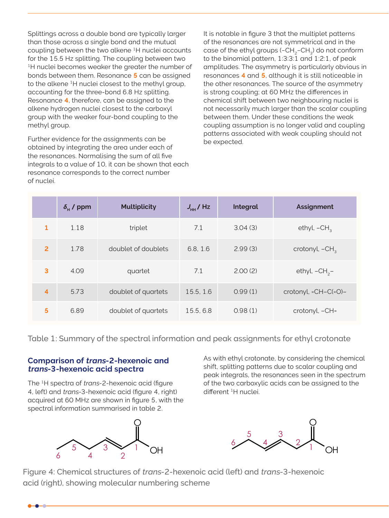Splittings across a double bond are typically larger than those across a single bond and the mutual coupling between the two alkene 1H nuclei accounts for the 15.5 Hz splitting. The coupling between two <sup>1</sup>H nuclei becomes weaker the greater the number of bonds between them. Resonance **5** can be assigned to the alkene 1H nuclei closest to the methyl group, accounting for the three-bond 6.8 Hz splitting. Resonance **4**, therefore, can be assigned to the alkene hydrogen nuclei closest to the carboxyl group with the weaker four-bond coupling to the methyl group.

Further evidence for the assignments can be obtained by integrating the area under each of the resonances. Normalising the sum of all five integrals to a value of 10, it can be shown that each resonance corresponds to the correct number of nuclei.

It is notable in figure 3 that the multiplet patterns of the resonances are not symmetrical and in the case of the ethyl groups (−CH<sub>2</sub>−CH<sub>2</sub>) do not conform to the binomial pattern, 1:3:3:1 and 1:2:1, of peak amplitudes. The asymmetry is particularly obvious in resonances **4** and **5**, although it is still noticeable in the other resonances. The source of the asymmetry is strong coupling; at 60 MHz the differences in chemical shift between two neighbouring nuclei is not necessarily much larger than the scalar coupling between them. Under these conditions the weak coupling assumption is no longer valid and coupling patterns associated with weak coupling should not be expected.

|                | $\delta_{\rm H}$ / ppm | <b>Multiplicity</b> | $J_{\text{HH}}$ /Hz | Integral | <b>Assignment</b>       |
|----------------|------------------------|---------------------|---------------------|----------|-------------------------|
| 1              | 1.18                   | triplet             | 7.1                 | 3.04(3)  | ethyl, $-CH_3$          |
| $\overline{2}$ | 1.78                   | doublet of doublets | 6.8, 1.6            | 2.99(3)  | crotonyl, $-CH3$        |
| 3              | 4.09                   | quartet             | 7.1                 | 2.00(2)  | ethyl, $-CH_2$ -        |
| $\overline{4}$ | 5.73                   | doublet of quartets | 15.5, 1.6           | 0.99(1)  | crotonyl, $=CH-C(=O)$ - |
| 5              | 6.89                   | doublet of quartets | 15.5, 6.8           | 0.98(1)  | crotonyl, -CH=          |

Table 1: Summary of the spectral information and peak assignments for ethyl crotonate

#### **Comparison of trans-2-hexenoic and trans-3-hexenoic acid spectra**

The 1H spectra of trans-2-hexenoic acid (figure 4, left) and trans-3-hexenoic acid (figure 4, right) acquired at 60 MHz are shown in figure 5, with the spectral information summarised in table 2.



As with ethyl crotonate, by considering the chemical shift, splitting patterns due to scalar coupling and peak integrals, the resonances seen in the spectrum of the two carboxylic acids can be assigned to the different 1H nuclei.



Figure 4: Chemical structures of trans-2-hexenoic acid (left) and trans-3-hexenoic acid (right), showing molecular numbering scheme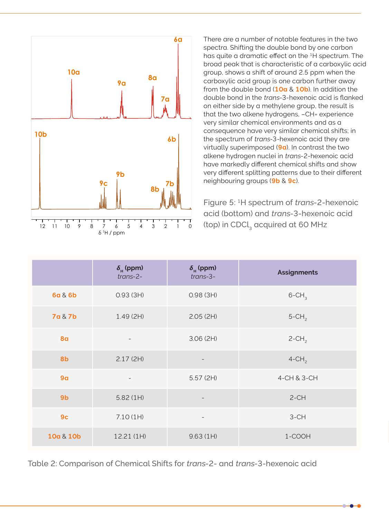

There are a number of notable features in the two spectra. Shifting the double bond by one carbon has quite a dramatic effect on the 1H spectrum. The broad peak that is characteristic of a carboxylic acid group, shows a shift of around 2.5 ppm when the carboxylic acid group is one carbon further away from the double bond (**10a** & **10b**). In addition the double bond in the trans-3-hexenoic acid is flanked on either side by a methylene group, the result is that the two alkene hydrogens, –CH= experience very similar chemical environments and as a consequence have very similar chemical shifts; in the spectrum of trans-3-hexenoic acid they are virtually superimposed (**9a**). In contrast the two alkene hydrogen nuclei in trans-2-hexenoic acid have markedly different chemical shifts and show very different splitting patterns due to their different neighbouring groups (**9b** & **9c**).

Figure 5: 1H spectrum of trans-2-hexenoic acid (bottom) and trans-3-hexenoic acid (top) in CDCl<sub>2</sub> acquired at 60 MHz

|                    | $\delta_{\rm H}$ (ppm)<br>$trans-2-$ | $\delta_{\rm H}$ (ppm)<br>$trans-3-$ | <b>Assignments</b>   |
|--------------------|--------------------------------------|--------------------------------------|----------------------|
| 6a & 6b            | 0.93(3H)                             | 0.98(3H)                             | $6$ -CH <sub>3</sub> |
| <b>7a &amp; 7b</b> | 1.49(2H)                             | 2.05(2H)                             | $5$ -CH <sub>2</sub> |
| <b>8a</b>          | $\overline{\phantom{a}}$             | 3.06(2H)                             | $2$ -CH <sub>2</sub> |
| 8b                 | 2.17(2H)                             |                                      | $4$ -CH <sub>2</sub> |
| 9 <sub>a</sub>     | $\overline{\phantom{a}}$             | 5.57(2H)                             | 4-CH & 3-CH          |
| 9 <sub>b</sub>     | 5.82(1H)                             |                                      | $2-CH$               |
| 9 <sub>c</sub>     | 7.10(1H)                             | $\qquad \qquad -$                    | $3-CH$               |
| 10a & 10b          | 12.21 (1H)                           | 9.63(1H)                             | 1-COOH               |

Table 2: Comparison of Chemical Shifts for trans-2- and trans-3-hexenoic acid